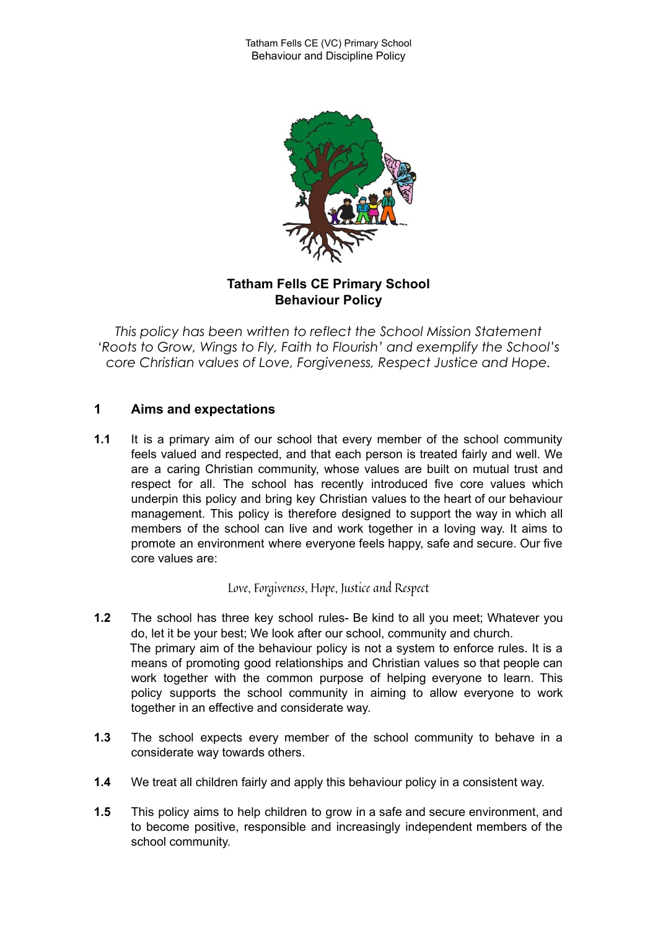

# **Tatham Fells CE Primary School Behaviour Policy**

*This policy has been written to reflect the School Mission Statement 'Roots to Grow, Wings to Fly, Faith to Flourish' and exemplify the School's core Christian values of Love, Forgiveness, Respect Justice and Hope.*

# **1 Aims and expectations**

**1.1** It is a primary aim of our school that every member of the school community feels valued and respected, and that each person is treated fairly and well. We are a caring Christian community, whose values are built on mutual trust and respect for all. The school has recently introduced five core values which underpin this policy and bring key Christian values to the heart of our behaviour management. This policy is therefore designed to support the way in which all members of the school can live and work together in a loving way. It aims to promote an environment where everyone feels happy, safe and secure. Our five core values are:

Love, Forgiveness, Hope, Justice and Respect

- **1.2** The school has three key school rules- Be kind to all you meet; Whatever you do, let it be your best; We look after our school, community and church. The primary aim of the behaviour policy is not a system to enforce rules. It is a means of promoting good relationships and Christian values so that people can work together with the common purpose of helping everyone to learn. This policy supports the school community in aiming to allow everyone to work together in an effective and considerate way.
- **1.3** The school expects every member of the school community to behave in a considerate way towards others.
- **1.4** We treat all children fairly and apply this behaviour policy in a consistent way.
- **1.5** This policy aims to help children to grow in a safe and secure environment, and to become positive, responsible and increasingly independent members of the school community.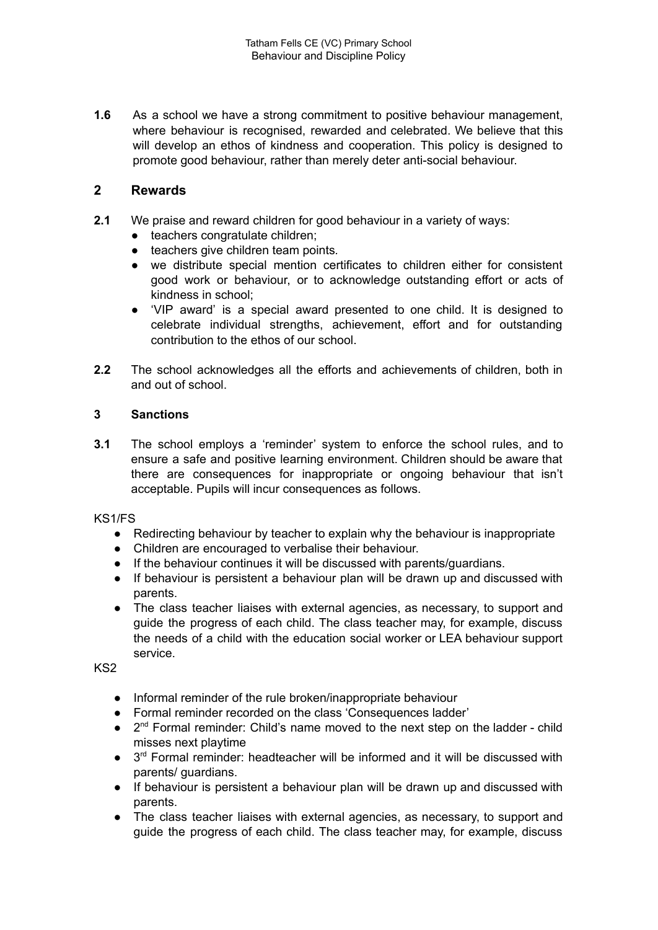**1.6** As a school we have a strong commitment to positive behaviour management, where behaviour is recognised, rewarded and celebrated. We believe that this will develop an ethos of kindness and cooperation. This policy is designed to promote good behaviour, rather than merely deter anti-social behaviour.

# **2 Rewards**

- **2.1** We praise and reward children for good behaviour in a variety of ways:
	- teachers congratulate children;
	- teachers give children team points*.*
	- we distribute special mention certificates to children either for consistent good work or behaviour, or to acknowledge outstanding effort or acts of kindness in school;
	- 'VIP award' is a special award presented to one child. It is designed to celebrate individual strengths, achievement, effort and for outstanding contribution to the ethos of our school.
- **2.2** The school acknowledges all the efforts and achievements of children, both in and out of school.

### **3 Sanctions**

**3.1** The school employs a 'reminder' system to enforce the school rules, and to ensure a safe and positive learning environment. Children should be aware that there are consequences for inappropriate or ongoing behaviour that isn't acceptable. Pupils will incur consequences as follows.

KS1/FS

- Redirecting behaviour by teacher to explain why the behaviour is inappropriate
- Children are encouraged to verbalise their behaviour.
- If the behaviour continues it will be discussed with parents/guardians.
- If behaviour is persistent a behaviour plan will be drawn up and discussed with parents.
- The class teacher liaises with external agencies, as necessary, to support and guide the progress of each child. The class teacher may, for example, discuss the needs of a child with the education social worker or LEA behaviour support service.

KS2

- Informal reminder of the rule broken/inappropriate behaviour
- Formal reminder recorded on the class 'Consequences ladder'
- 2<sup>nd</sup> Formal reminder: Child's name moved to the next step on the ladder child misses next playtime
- 3<sup>rd</sup> Formal reminder: headteacher will be informed and it will be discussed with parents/ guardians.
- If behaviour is persistent a behaviour plan will be drawn up and discussed with parents.
- The class teacher liaises with external agencies, as necessary, to support and guide the progress of each child. The class teacher may, for example, discuss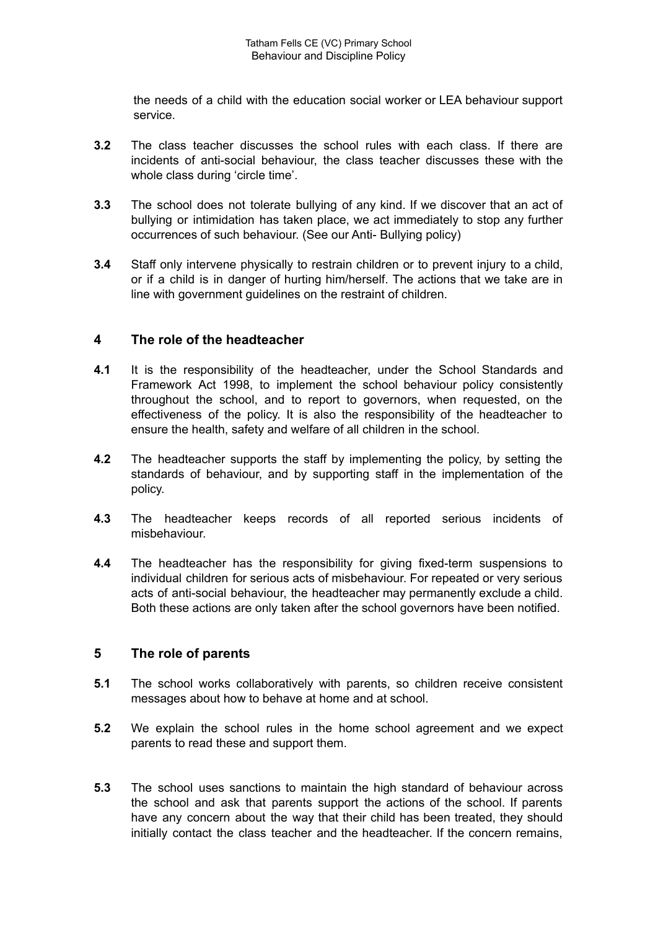the needs of a child with the education social worker or LEA behaviour support service.

- **3.2** The class teacher discusses the school rules with each class. If there are incidents of anti-social behaviour, the class teacher discusses these with the whole class during 'circle time'.
- **3.3** The school does not tolerate bullying of any kind. If we discover that an act of bullying or intimidation has taken place, we act immediately to stop any further occurrences of such behaviour. (See our Anti- Bullying policy)
- **3.4** Staff only intervene physically to restrain children or to prevent injury to a child, or if a child is in danger of hurting him/herself. The actions that we take are in line with government guidelines on the restraint of children.

## **4 The role of the headteacher**

- **4.1** It is the responsibility of the headteacher, under the School Standards and Framework Act 1998, to implement the school behaviour policy consistently throughout the school, and to report to governors, when requested, on the effectiveness of the policy. It is also the responsibility of the headteacher to ensure the health, safety and welfare of all children in the school.
- **4.2** The headteacher supports the staff by implementing the policy, by setting the standards of behaviour, and by supporting staff in the implementation of the policy.
- **4.3** The headteacher keeps records of all reported serious incidents of misbehaviour.
- **4.4** The headteacher has the responsibility for giving fixed-term suspensions to individual children for serious acts of misbehaviour. For repeated or very serious acts of anti-social behaviour, the headteacher may permanently exclude a child. Both these actions are only taken after the school governors have been notified.

## **5 The role of parents**

- **5.1** The school works collaboratively with parents, so children receive consistent messages about how to behave at home and at school.
- **5.2** We explain the school rules in the home school agreement and we expect parents to read these and support them.
- **5.3** The school uses sanctions to maintain the high standard of behaviour across the school and ask that parents support the actions of the school. If parents have any concern about the way that their child has been treated, they should initially contact the class teacher and the headteacher. If the concern remains,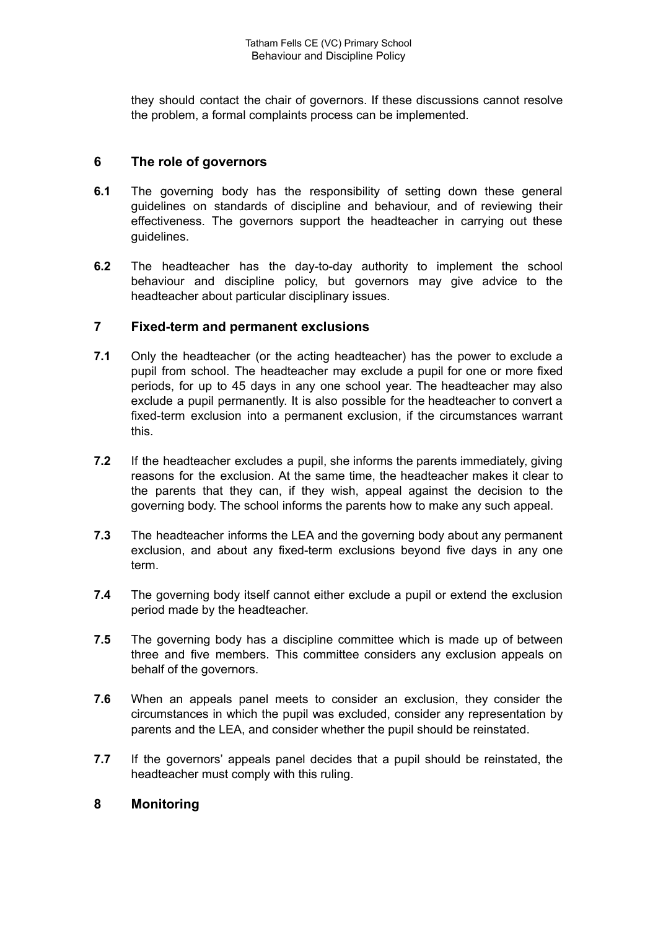they should contact the chair of governors. If these discussions cannot resolve the problem, a formal complaints process can be implemented.

# **6 The role of governors**

- **6.1** The governing body has the responsibility of setting down these general guidelines on standards of discipline and behaviour, and of reviewing their effectiveness. The governors support the headteacher in carrying out these guidelines.
- **6.2** The headteacher has the day-to-day authority to implement the school behaviour and discipline policy, but governors may give advice to the headteacher about particular disciplinary issues.

## **7 Fixed-term and permanent exclusions**

- **7.1** Only the headteacher (or the acting headteacher) has the power to exclude a pupil from school. The headteacher may exclude a pupil for one or more fixed periods, for up to 45 days in any one school year. The headteacher may also exclude a pupil permanently. It is also possible for the headteacher to convert a fixed-term exclusion into a permanent exclusion, if the circumstances warrant this.
- **7.2** If the headteacher excludes a pupil, she informs the parents immediately, giving reasons for the exclusion. At the same time, the headteacher makes it clear to the parents that they can, if they wish, appeal against the decision to the governing body. The school informs the parents how to make any such appeal.
- **7.3** The headteacher informs the LEA and the governing body about any permanent exclusion, and about any fixed-term exclusions beyond five days in any one term.
- **7.4** The governing body itself cannot either exclude a pupil or extend the exclusion period made by the headteacher.
- **7.5** The governing body has a discipline committee which is made up of between three and five members. This committee considers any exclusion appeals on behalf of the governors.
- **7.6** When an appeals panel meets to consider an exclusion, they consider the circumstances in which the pupil was excluded, consider any representation by parents and the LEA, and consider whether the pupil should be reinstated.
- **7.7** If the governors' appeals panel decides that a pupil should be reinstated, the headteacher must comply with this ruling.

## **8 Monitoring**